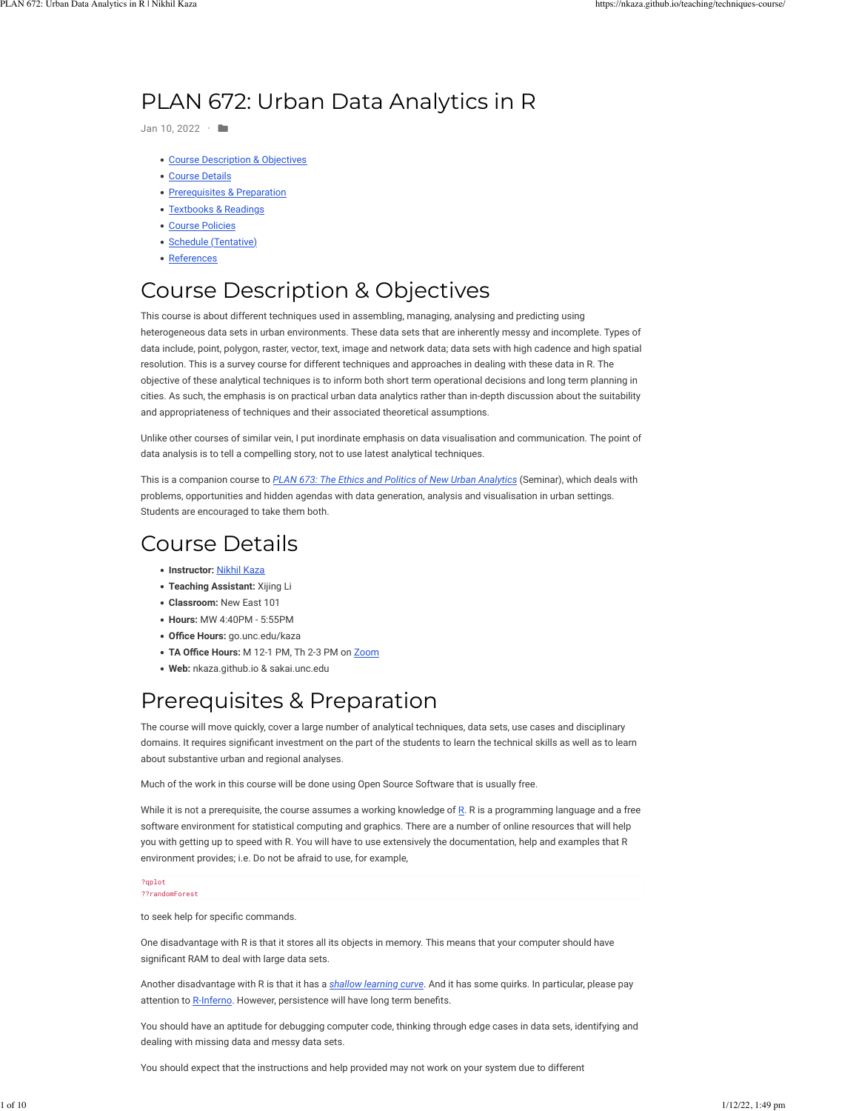## PLAN 672: Urban Data Analytics in R

Jan 10, 2022 · **ID** 

- . [Course Description & Objectives](https://nkaza.github.io/teaching/techniques-course/#course-description-objectives)
- [Course Details](https://nkaza.github.io/teaching/techniques-course/#course-details)
- [Prerequisites & Preparation](https://nkaza.github.io/teaching/techniques-course/#prerequisites-preparation)
- . [Textbooks & Readings](https://nkaza.github.io/teaching/techniques-course/#textbooks-readings)
- [Course Policies](https://nkaza.github.io/teaching/techniques-course/#course-policies)
- [Schedule \(Tentative\)](https://nkaza.github.io/teaching/techniques-course/#schedule-tentative)
- [References](https://nkaza.github.io/teaching/techniques-course/#references)

# Course Description & Objectives

This course is about different techniques used in assembling, managing, analysing and predicting using heterogeneous data sets in urban environments. These data sets that are inherently messy and incomplete. Types of data include, point, polygon, raster, vector, text, image and network data; data sets with high cadence and high spatial resolution. This is a survey course for different techniques and approaches in dealing with these data in R. The objective of these analytical techniques is to inform both short term operational decisions and long term planning in cities. As such, the emphasis is on practical urban data analytics rather than in-depth discussion about the suitability and appropriateness of techniques and their associated theoretical assumptions.

Unlike other courses of similar vein, I put inordinate emphasis on data visualisation and communication. The point of data analysis is to tell a compelling story, not to use latest analytical techniques.

This is a companion course to *[PLAN 673: The Ethics and Politics of New Urban Analytics](https://planning.unc.edu/courses/673/)* (Seminar), which deals with problems, opportunities and hidden agendas with data generation, analysis and visualisation in urban settings. Students are encouraged to take them both.

## Course Details

- !"**Instructor:** [Nikhil Kaza](http://nkaza.github.io/)
- !"**Teaching Assistant:** Xijing Li
- !"**Classroom:** New East 101
- !"**Hours:** MW 4:40PM 5:55PM
- !"**O7ce Hours:** go.unc.edu/kaza
- TA Office Hours: M 12-1 PM, Th 2-3 PM on [Zoom](https://unc.zoom.us/j/9238394823)
- !"**Web:** nkaza.github.io & sakai.unc.edu

## Prerequisites & Preparation

The course will move quickly, cover a large number of analytical techniques, data sets, use cases and disciplinary domains. It requires significant investment on the part of the students to learn the technical skills as well as to learn about substantive urban and regional analyses.

Much of the work in this course will be done using Open Source Software that is usually free.

While it is not a prerequisite, the course assumes a working knowledge of  $R$ . R is a programming language and a free software environment for statistical computing and graphics. There are a number of online resources that will help you with getting up to speed with R. You will have to use extensively the documentation, help and examples that R environment provides; i.e. Do not be afraid to use, for example,

#### ?qplot ??randomForest

to seek help for specific commands.

One disadvantage with R is that it stores all its objects in memory. This means that your computer should have significant RAM to deal with large data sets.

Another disadvantage with R is that it has a *[shallow learning curve](http://cockeyed.com/lessons/learning_curve/learning_curve.php)*. And it has some quirks. In particular, please pay attention to [R-Inferno](https://www.burns-stat.com/pages/Tutor/R_inferno.pdf). However, persistence will have long term benefits.

You should have an aptitude for debugging computer code, thinking through edge cases in data sets, identifying and dealing with missing data and messy data sets.

You should expect that the instructions and help provided may not work on your system due to different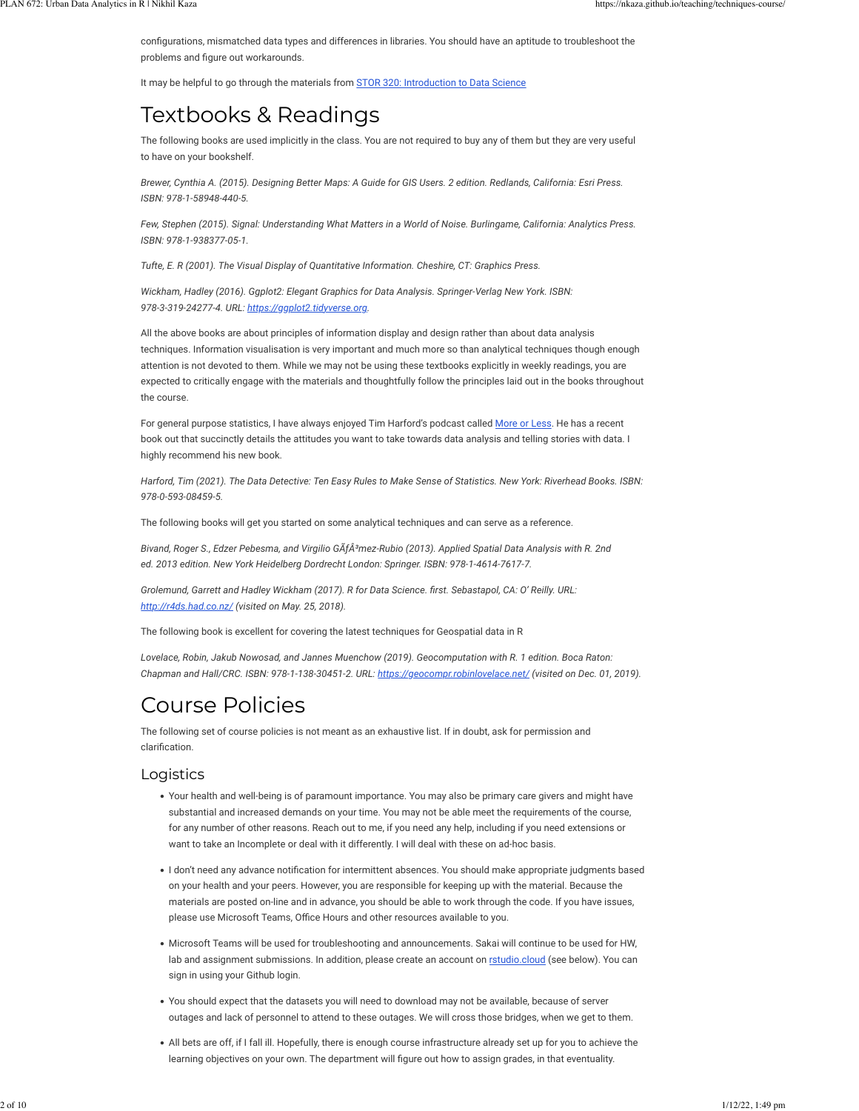configurations, mismatched data types and differences in libraries. You should have an aptitude to troubleshoot the problems and figure out workarounds.

It may be helpful to go through the materials from [STOR 320: Introduction to Data Science](https://supermariogiacomazzo.github.io/STOR320_WEBSITE/)

## Textbooks & Readings

The following books are used implicitly in the class. You are not required to buy any of them but they are very useful to have on your bookshelf.

*Brewer, Cynthia A. (2015). Designing Better Maps: A Guide for GIS Users. 2 edition. Redlands, California: Esri Press. ISBN: 978-1-58948-440-5.*

*Few, Stephen (2015). Signal: Understanding What Matters in a World of Noise. Burlingame, California: Analytics Press. ISBN: 978-1-938377-05-1.*

*Tufte, E. R (2001). The Visual Display of Quantitative Information. Cheshire, CT: Graphics Press.*

*Wickham, Hadley (2016). Ggplot2: Elegant Graphics for Data Analysis. Springer-Verlag New York. ISBN: 978-3-319-24277-4. URL: [https://ggplot2.tidyverse.org.](https://ggplot2.tidyverse.org/)*

All the above books are about principles of information display and design rather than about data analysis techniques. Information visualisation is very important and much more so than analytical techniques though enough attention is not devoted to them. While we may not be using these textbooks explicitly in weekly readings, you are expected to critically engage with the materials and thoughtfully follow the principles laid out in the books throughout the course.

For general purpose statistics, I have always enjoyed Tim Harford's podcast called [More or Less](https://www.bbc.co.uk/programmes/p02nrss1/episodes/downloads). He has a recent book out that succinctly details the attitudes you want to take towards data analysis and telling stories with data. I highly recommend his new book.

*Harford, Tim (2021). The Data Detective: Ten Easy Rules to Make Sense of Statistics. New York: Riverhead Books. ISBN: 978-0-593-08459-5.*

The following books will get you started on some analytical techniques and can serve as a reference.

Bivand, Roger S., Edzer Pebesma, and Virgilio GÂfÂ<sup>3</sup>mez-Rubio (2013). Applied Spatial Data Analysis with R. 2nd *ed. 2013 edition. New York Heidelberg Dordrecht London: Springer. ISBN: 978-1-4614-7617-7.*

*Grolemund, Garrett and Hadley Wickham (2017). R for Data Science. first. Sebastapol, CA: O' Reilly. URL: <http://r4ds.had.co.nz/> (visited on May. 25, 2018).*

The following book is excellent for covering the latest techniques for Geospatial data in R

*Lovelace, Robin, Jakub Nowosad, and Jannes Muenchow (2019). Geocomputation with R. 1 edition. Boca Raton: Chapman and Hall/CRC. ISBN: 978-1-138-30451-2. URL:<https://geocompr.robinlovelace.net/>(visited on Dec. 01, 2019).*

## Course Policies

The following set of course policies is not meant as an exhaustive list. If in doubt, ask for permission and clarification

## Logistics

- !"Your health and well-being is of paramount importance. You may also be primary care givers and might have substantial and increased demands on your time. You may not be able meet the requirements of the course, for any number of other reasons. Reach out to me, if you need any help, including if you need extensions or want to take an Incomplete or deal with it differently. I will deal with these on ad-hoc basis.
- . I don't need any advance notification for intermittent absences. You should make appropriate judgments based on your health and your peers. However, you are responsible for keeping up with the material. Because the materials are posted on-line and in advance, you should be able to work through the code. If you have issues, please use Microsoft Teams, Office Hours and other resources available to you.
- !"Microsoft Teams will be used for troubleshooting and announcements. Sakai will continue to be used for HW, lab and assignment submissions. In addition, please create an account on [rstudio.cloud](https://rstudio.cloud/) (see below). You can sign in using your Github login.
- !"You should expect that the datasets you will need to download may not be available, because of server outages and lack of personnel to attend to these outages. We will cross those bridges, when we get to them.
- . All bets are off, if I fall ill. Hopefully, there is enough course infrastructure already set up for you to achieve the learning objectives on your own. The department will figure out how to assign grades, in that eventuality.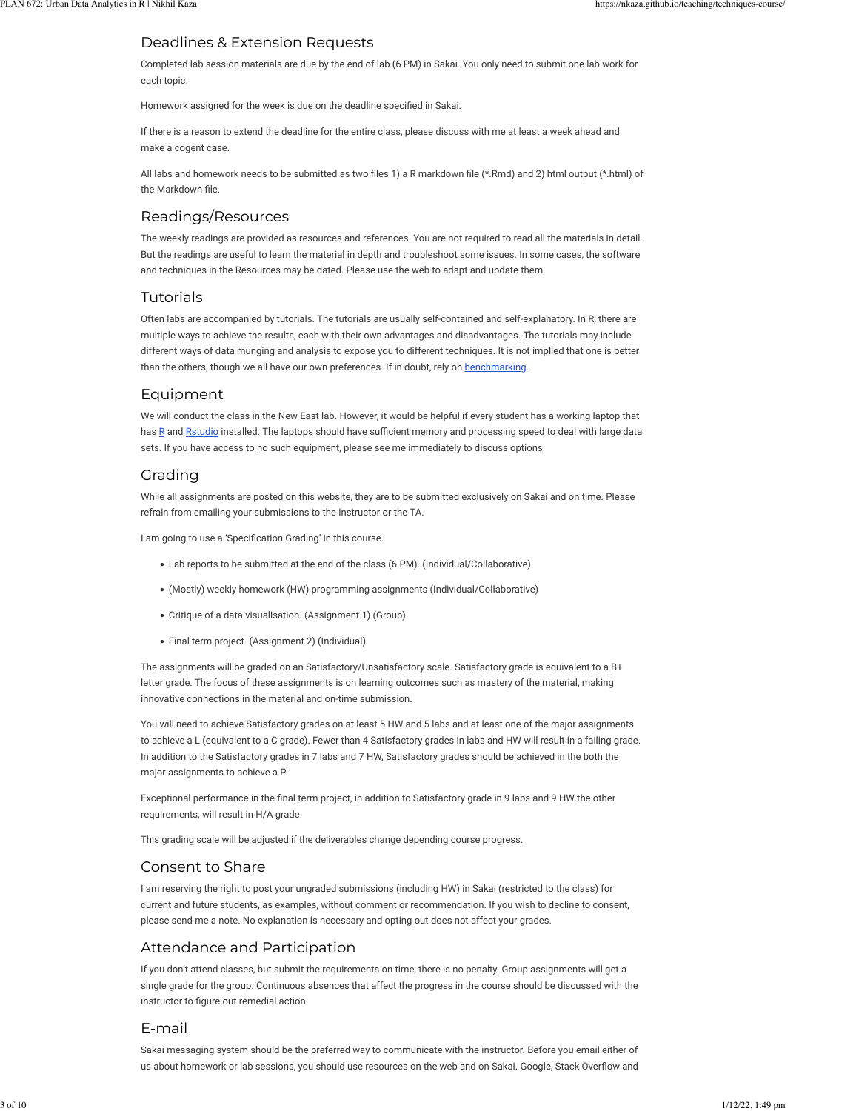## Deadlines & Extension Requests

Completed lab session materials are due by the end of lab (6 PM) in Sakai. You only need to submit one lab work for each topic.

Homework assigned for the week is due on the deadline specified in Sakai.

If there is a reason to extend the deadline for the entire class, please discuss with me at least a week ahead and make a cogent case.

All labs and homework needs to be submitted as two files 1) a R markdown file (\*.Rmd) and 2) html output (\*.html) of the Markdown file.

## Readings/Resources

The weekly readings are provided as resources and references. You are not required to read all the materials in detail. But the readings are useful to learn the material in depth and troubleshoot some issues. In some cases, the software and techniques in the Resources may be dated. Please use the web to adapt and update them.

## Tutorials

Often labs are accompanied by tutorials. The tutorials are usually self-contained and self-explanatory. In R, there are multiple ways to achieve the results, each with their own advantages and disadvantages. The tutorials may include different ways of data munging and analysis to expose you to different techniques. It is not implied that one is better than the others, though we all have our own preferences. If in doubt, rely on [benchmarking](https://www.alexejgossmann.com/benchmarking_r/).

## Equipment

We will conduct the class in the New East lab. However, it would be helpful if every student has a working laptop that has [R](https://www.r-project.org/) and [Rstudio](https://www.rstudio.com/) installed. The laptops should have sufficient memory and processing speed to deal with large data sets. If you have access to no such equipment, please see me immediately to discuss options.

## Grading

While all assignments are posted on this website, they are to be submitted exclusively on Sakai and on time. Please refrain from emailing your submissions to the instructor or the TA.

I am going to use a 'Specification Grading' in this course.

- Lab reports to be submitted at the end of the class (6 PM). (Individual/Collaborative)
- !"(Mostly) weekly homework (HW) programming assignments (Individual/Collaborative)
- !"Critique of a data visualisation. (Assignment 1) (Group)
- Final term project. (Assignment 2) (Individual)

The assignments will be graded on an Satisfactory/Unsatisfactory scale. Satisfactory grade is equivalent to a B+ letter grade. The focus of these assignments is on learning outcomes such as mastery of the material, making innovative connections in the material and on-time submission.

You will need to achieve Satisfactory grades on at least 5 HW and 5 labs and at least one of the major assignments to achieve a L (equivalent to a C grade). Fewer than 4 Satisfactory grades in labs and HW will result in a failing grade. In addition to the Satisfactory grades in 7 labs and 7 HW, Satisfactory grades should be achieved in the both the major assignments to achieve a P.

Exceptional performance in the final term project, in addition to Satisfactory grade in 9 labs and 9 HW the other requirements, will result in H/A grade.

This grading scale will be adjusted if the deliverables change depending course progress.

## Consent to Share

I am reserving the right to post your ungraded submissions (including HW) in Sakai (restricted to the class) for current and future students, as examples, without comment or recommendation. If you wish to decline to consent, please send me a note. No explanation is necessary and opting out does not affect your grades.

## Attendance and Participation

If you don't attend classes, but submit the requirements on time, there is no penalty. Group assignments will get a single grade for the group. Continuous absences that affect the progress in the course should be discussed with the instructor to figure out remedial action.

## E-mail

Sakai messaging system should be the preferred way to communicate with the instructor. Before you email either of us about homework or lab sessions, you should use resources on the web and on Sakai. Google, Stack Overflow and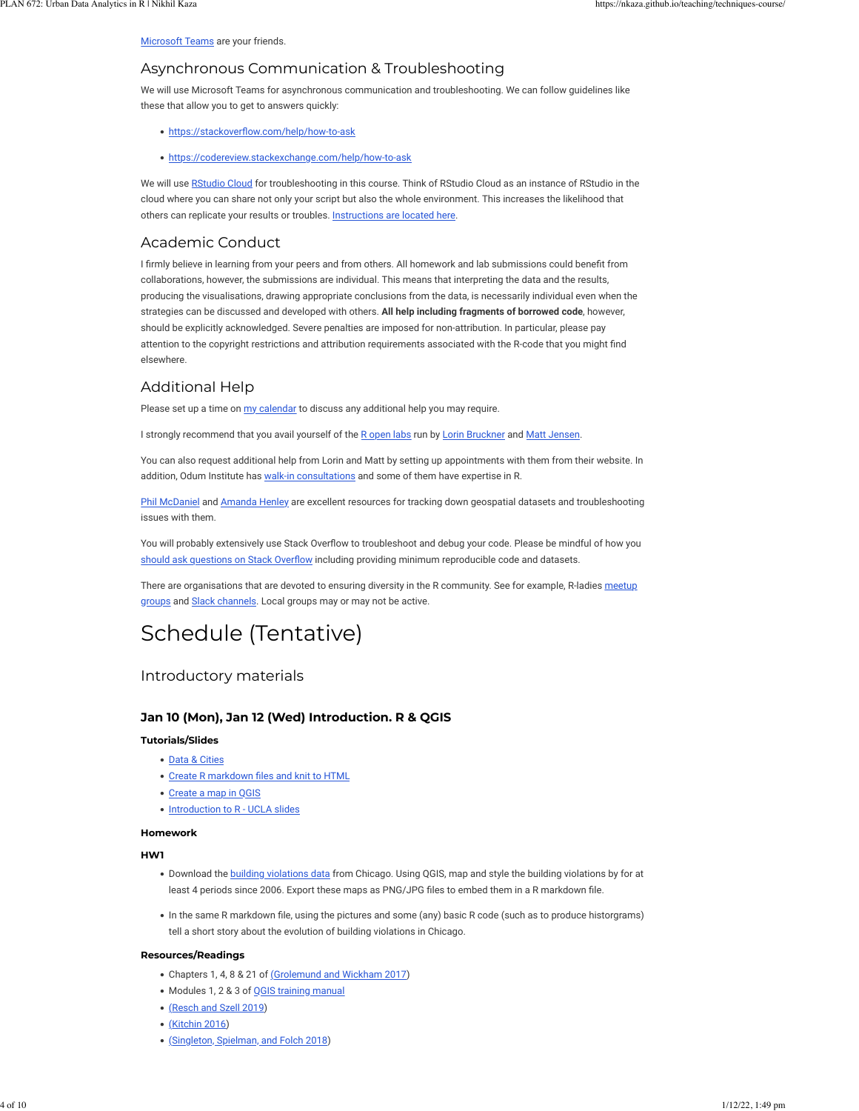#### [Microsoft Teams](https://teams.microsoft.com/l/team/19%3aNkXCQbygFozl8aV0IqzNPKvZiwy4N0WPBtL9a7XTsPA1%40thread.tacv2/conversations?groupId=f82e1428-94d4-4019-97fb-38d4e694e3e7&tenantId=58b3d54f-16c9-42d3-af08-1fcabd095666) are your friends.

## Asynchronous Communication & Troubleshooting

We will use Microsoft Teams for asynchronous communication and troubleshooting. We can follow guidelines like these that allow you to get to answers quickly:

- . https://stackoverflow.com/help/how-to-ask
- . <https://codereview.stackexchange.com/help/how-to-ask>

We will use [RStudio Cloud](https://rstudio.cloud/) for troubleshooting in this course. Think of RStudio Cloud as an instance of RStudio in the cloud where you can share not only your script but also the whole environment. This increases the likelihood that others can replicate your results or troubles. [Instructions are located here.](https://nkaza.github.io/teaching/remote-instruction-672/)

## Academic Conduct

I firmly believe in learning from your peers and from others. All homework and lab submissions could benefit from collaborations, however, the submissions are individual. This means that interpreting the data and the results, producing the visualisations, drawing appropriate conclusions from the data, is necessarily individual even when the strategies can be discussed and developed with others. **All help including fragments of borrowed code**, however, should be explicitly acknowledged. Severe penalties are imposed for non-attribution. In particular, please pay attention to the copyright restrictions and attribution requirements associated with the R-code that you might find elsewhere.

## Additional Help

Please set up a time on [my calendar](https://nikhilkaza.youcanbook.me/) to discuss any additional help you may require.

I strongly recommend that you avail yourself of the [R open labs](http://ropenlabs.web.unc.edu/) run by [Lorin Bruckner](https://guides.lib.unc.edu/lorinbruckner) and [Matt Jensen](https://guides.lib.unc.edu/mattjansen).

You can also request additional help from Lorin and Matt by setting up appointments with them from their website. In addition, Odum Institute has [walk-in consultations](https://odum.unc.edu/research-support/quantitative-analysis/) and some of them have expertise in R.

[Phil McDaniel](https://library.unc.edu/about/staff/philip-mcdaniel/) and [Amanda Henley](https://guides.lib.unc.edu/amandahenley) are excellent resources for tracking down geospatial datasets and troubleshooting issues with them.

You will probably extensively use Stack Overflow to troubleshoot and debug your code. Please be mindful of how you should ask questions on Stack Overflow including providing minimum reproducible code and datasets.

There are organisations that are devoted to ensuring diversity in the R community. See for example, R-ladies [meetup](https://rladies.org/) [groups](https://rladies.org/) and [Slack channels.](https://rladies-community-slack.herokuapp.com/) Local groups may or may not be active.

## Schedule (Tentative)

## Introductory materials

### **Jan 10 (Mon), Jan 12 (Wed) Introduction. R & QGIS**

#### **Tutorials/Slides**

- [Data & Cities](https://nkaza.github.io/slides/techniques_Introduction/Introduction_slides.html)
- . Create R markdown files and knit to HTML
- Create a map in OGIS
- . [Introduction to R UCLA slides](https://stats.idre.ucla.edu/stat/data/intro_r/intro_r_interactive.html)

#### **Homework**

#### **HW1**

- . Download the [building violations data](https://data.cityofchicago.org/Buildings/Building-Violations/22u3-xenr) from Chicago. Using QGIS, map and style the building violations by for at least 4 periods since 2006. Export these maps as PNG/JPG files to embed them in a R markdown file.
- . In the same R markdown file, using the pictures and some (any) basic R code (such as to produce historgrams) tell a short story about the evolution of building violations in Chicago.

#### **Resources/Readings**

- Chapters 1, 4, 8 & 21 of [\(](https://r4ds.had.co.nz/)[Grolemund and Wickham 2017\)](https://nkaza.github.io/teaching/techniques-course/#ref-grolemundDataScience2017)
- . Modules 1, 2 & 3 of [QGIS training manual](https://docs.qgis.org/3.4/en/docs/training_manual/index.html)
- [\(](https://doi.org/10.3390/ijgi8120584)[Resch and Szell 2019](https://nkaza.github.io/teaching/techniques-course/#ref-reschHumanCentricDataScience2019))
- [\(](https://doi.org/10.1098/rsta.2016.0115)[Kitchin 2016](https://nkaza.github.io/teaching/techniques-course/#ref-kitchinEthicsSmartCities2016))
- . [\(](https://github.com/alexsingleton/urban_analytics)[Singleton, Spielman, and Folch 2018\)](https://nkaza.github.io/teaching/techniques-course/#ref-singletonUrbanAnalytics2018)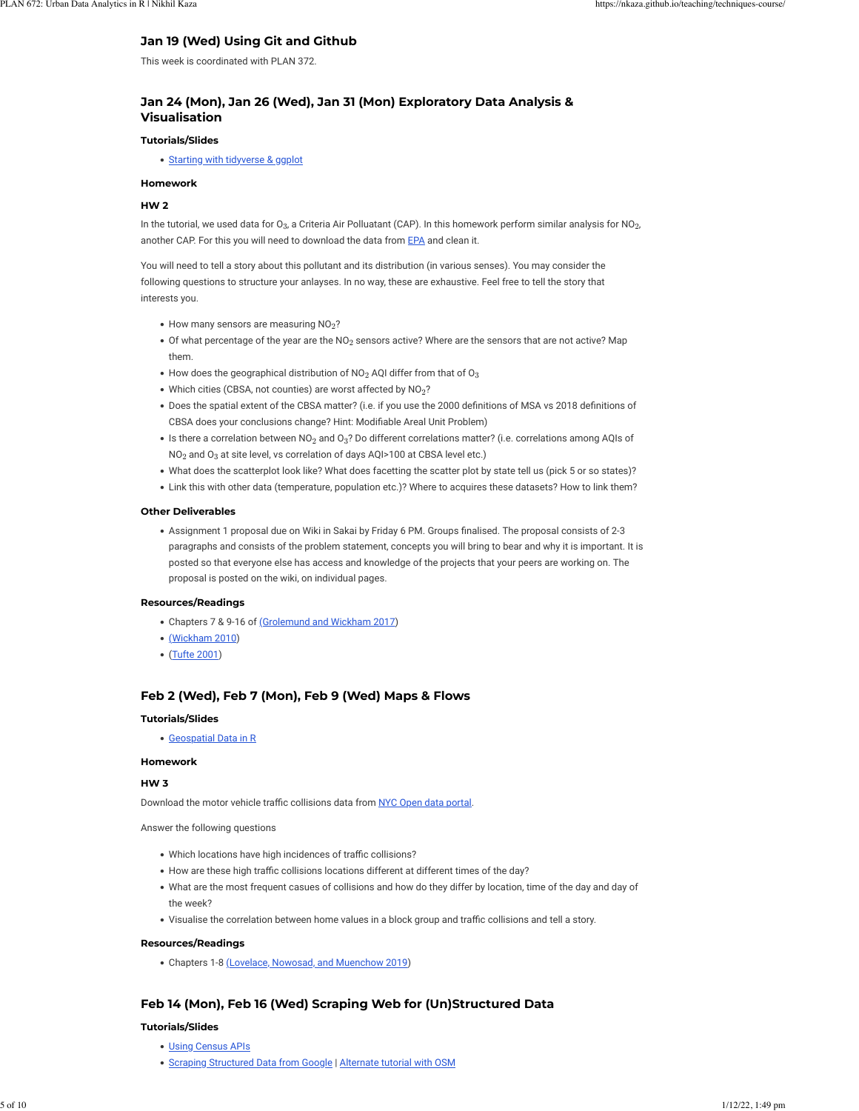### **Jan 19 (Wed) Using Git and Github**

This week is coordinated with PLAN 372.

### **Jan 24 (Mon), Jan 26 (Wed), Jan 31 (Mon) Exploratory Data Analysis & Visualisation**

#### **Tutorials/Slides**

• [Starting with tidyverse & ggplot](https://nkaza.github.io/post/exploratory-data-analysis-visualisation/)

#### **Homework**

#### **HW 2**

In the tutorial, we used data for O $_3$ , a Criteria Air Polluatant (CAP). In this homework perform similar analysis for NO $_2$ , another CAP. For this you will need to download the data from [EPA](https://aqs.epa.gov/aqsweb/airdata/download_files.html) and clean it.

You will need to tell a story about this pollutant and its distribution (in various senses). You may consider the following questions to structure your anlayses. In no way, these are exhaustive. Feel free to tell the story that interests you.

- $\bullet$  How many sensors are measuring NO<sub>2</sub>?
- $\bullet$  Of what percentage of the year are the NO<sub>2</sub> sensors active? Where are the sensors that are not active? Map them.
- $\bullet$  How does the geographical distribution of NO<sub>2</sub> AQI differ from that of O<sub>3</sub>
- Which cities (CBSA, not counties) are worst affected by  $NO_2$ ?
- . Does the spatial extent of the CBSA matter? (i.e. if you use the 2000 definitions of MSA vs 2018 definitions of CBSA does your conclusions change? Hint: Modifiable Areal Unit Problem)
- $\bullet\,$  Is there a correlation between NO $_2$  and O $_3?$  Do different correlations matter? (i.e. correlations among AQIs of  $NO<sub>2</sub>$  and  $O<sub>3</sub>$  at site level, vs correlation of days AQI>100 at CBSA level etc.)
- . What does the scatterplot look like? What does facetting the scatter plot by state tell us (pick 5 or so states)?
- !"Link this with other data (temperature, population etc.)? Where to acquires these datasets? How to link them?

#### **Other Deliverables**

. Assignment 1 proposal due on Wiki in Sakai by Friday 6 PM. Groups finalised. The proposal consists of 2-3 paragraphs and consists of the problem statement, concepts you will bring to bear and why it is important. It is posted so that everyone else has access and knowledge of the projects that your peers are working on. The proposal is posted on the wiki, on individual pages.

#### **Resources/Readings**

- Chapters 7 & 9-16 of [\(](https://r4ds.had.co.nz/)[Grolemund and Wickham 2017\)](https://nkaza.github.io/teaching/techniques-course/#ref-grolemundDataScience2017)
- [\(](http://dx.doi.org/10.1198/jcgs.2009.07098)[Wickham 2010\)](https://nkaza.github.io/teaching/techniques-course/#ref-layered-grammar)
- ([Tufte 2001\)](https://nkaza.github.io/teaching/techniques-course/#ref-tufteVisualDisplayQuantitative2001)

#### **Feb 2 (Wed), Feb 7 (Mon), Feb 9 (Wed) Maps & Flows**

#### **Tutorials/Slides**

!"[Geospatial Data in R](https://nkaza.github.io/post/geospatial-data-in-r/)

#### **Homework**

#### **HW 3**

Download the motor vehicle traffic collisions data from [NYC Open data portal](https://data.cityofnewyork.us/Public-Safety/Motor-Vehicle-Collisions-Crashes/h9gi-nx95).

Answer the following questions

- . Which locations have high incidences of traffic collisions?
- . How are these high traffic collisions locations different at different times of the day?
- !"What are the most frequent casues of collisions and how do they differ by location, time of the day and day of the week?
- . Visualise the correlation between home values in a block group and traffic collisions and tell a story.

#### **Resources/Readings**

• Chapters 1-8 [\(](https://geocompr.robinlovelace.net/)[Lovelace, Nowosad, and Muenchow 2019\)](https://nkaza.github.io/teaching/techniques-course/#ref-lovelaceGeocomputation2019)

### **Feb 14 (Mon), Feb 16 (Wed) Scraping Web for (Un)Structured Data**

#### **Tutorials/Slides**

- . [Using Census APIs](https://nkaza.github.io/post/2020-01-12-using-tidycensus/)
- **.** [Scraping Structured Data from Google](https://nkaza.github.io/post/using-google-api-for-planning/) | [Alternate tutorial with OSM](https://nkaza.github.io/post/2020-02-12-extracting-data-from-openstreetmap/)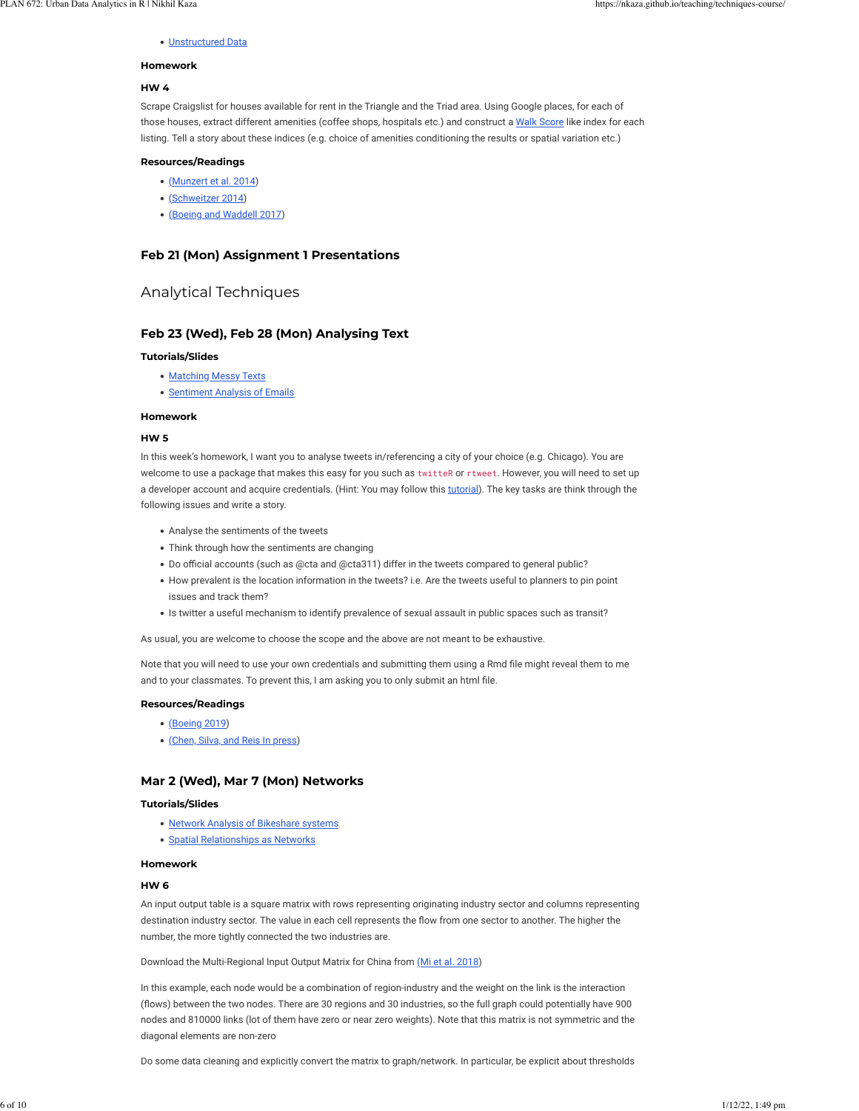### · [Unstructured Data](https://nkaza.github.io/post/2020-02-04-scraping-craigslist-posts/)

#### **Homework**

#### **HW 4**

Scrape Craigslist for houses available for rent in the Triangle and the Triad area. Using Google places, for each of those houses, extract different amenities (coffee shops, hospitals etc.) and construct a [Walk Score](https://www.walkscore.com/methodology.shtml) like index for each listing. Tell a story about these indices (e.g. choice of amenities conditioning the results or spatial variation etc.)

#### **Resources/Readings**

- [\(](http://www.r-datacollection.com/bookmaterials.html)[Munzert et al. 2014](https://nkaza.github.io/teaching/techniques-course/#ref-munzertAutomatedDataCollection2014a))
- [\(](https://doi.org/10.1080/01944363.2014.980439)[Schweitzer 2014\)](https://nkaza.github.io/teaching/techniques-course/#ref-schweitzerPlanningSocialMedia2014)
- . [\(](https://doi-org/10.1177/0739456X16664789)[Boeing and Waddell 2017\)](https://nkaza.github.io/teaching/techniques-course/#ref-boeingNewInsightsRental2017)

#### **Feb 21 (Mon) Assignment 1 Presentations**

### Analytical Techniques

### **Feb 23 (Wed), Feb 28 (Mon) Analysing Text**

#### **Tutorials/Slides**

- . [Matching Messy Texts](https://nkaza.github.io/post/matching-messy-texts/)
- . [Sentiment Analysis of Emails](https://nkaza.github.io/post/analysing-free-form-text/)

#### **Homework**

#### **HW 5**

In this week's homework, I want you to analyse tweets in/referencing a city of your choice (e.g. Chicago). You are welcome to use a package that makes this easy for you such as twitteR or rtweet. However, you will need to set up a developer account and acquire credentials. (Hint: You may follow this [tutorial](https://rpubs.com/eduRodrigues/RetrievingTweets)). The key tasks are think through the following issues and write a story.

- . Analyse the sentiments of the tweets
- . Think through how the sentiments are changing
- . Do official accounts (such as @cta and @cta311) differ in the tweets compared to general public?
- !"How prevalent is the location information in the tweets? i.e. Are the tweets useful to planners to pin point issues and track them?
- !"Is twitter a useful mechanism to identify prevalence of sexual assault in public spaces such as transit?

As usual, you are welcome to choose the scope and the above are not meant to be exhaustive.

Note that you will need to use your own credentials and submitting them using a Rmd file might reveal them to me and to your classmates. To prevent this, I am asking you to only submit an html file.

#### **Resources/Readings**

- [\(](https://www.tidytextmining.com/)[Boeing 2019](https://nkaza.github.io/teaching/techniques-course/#ref-boeingUrbanSpatialOrder2019))
- . [\(](http://dx.doi.org/10.1111/rsp3.12292)[Chen, Silva, and Reis In press\)](https://nkaza.github.io/teaching/techniques-course/#ref-chenMeasuringPolicyDebateInpress)

#### **Mar 2 (Wed), Mar 7 (Mon) Networks**

#### **Tutorials/Slides**

- . [Network Analysis of Bikeshare systems](https://nkaza.github.io/post/analysing-urban-neworks/)
- . [Spatial Relationships as Networks](https://nkaza.github.io/post/using-network-ananlysis-to-identify-clusters-of-deprivation/)

#### **Homework**

#### **HW 6**

An input output table is a square matrix with rows representing originating industry sector and columns representing destination industry sector. The value in each cell represents the flow from one sector to another. The higher the number, the more tightly connected the two industries are.

Download the Multi-Regional Input Output Matrix for China from [\(](https://www.nature.com/articles/sdata2018155)[Mi et al. 2018](https://nkaza.github.io/teaching/techniques-course/#ref-miMultiregionalInputoutputTable2018))

In this example, each node would be a combination of region-industry and the weight on the link is the interaction (flows) between the two nodes. There are 30 regions and 30 industries, so the full graph could potentially have 900 nodes and 810000 links (lot of them have zero or near zero weights). Note that this matrix is not symmetric and the diagonal elements are non-zero

Do some data cleaning and explicitly convert the matrix to graph/network. In particular, be explicit about thresholds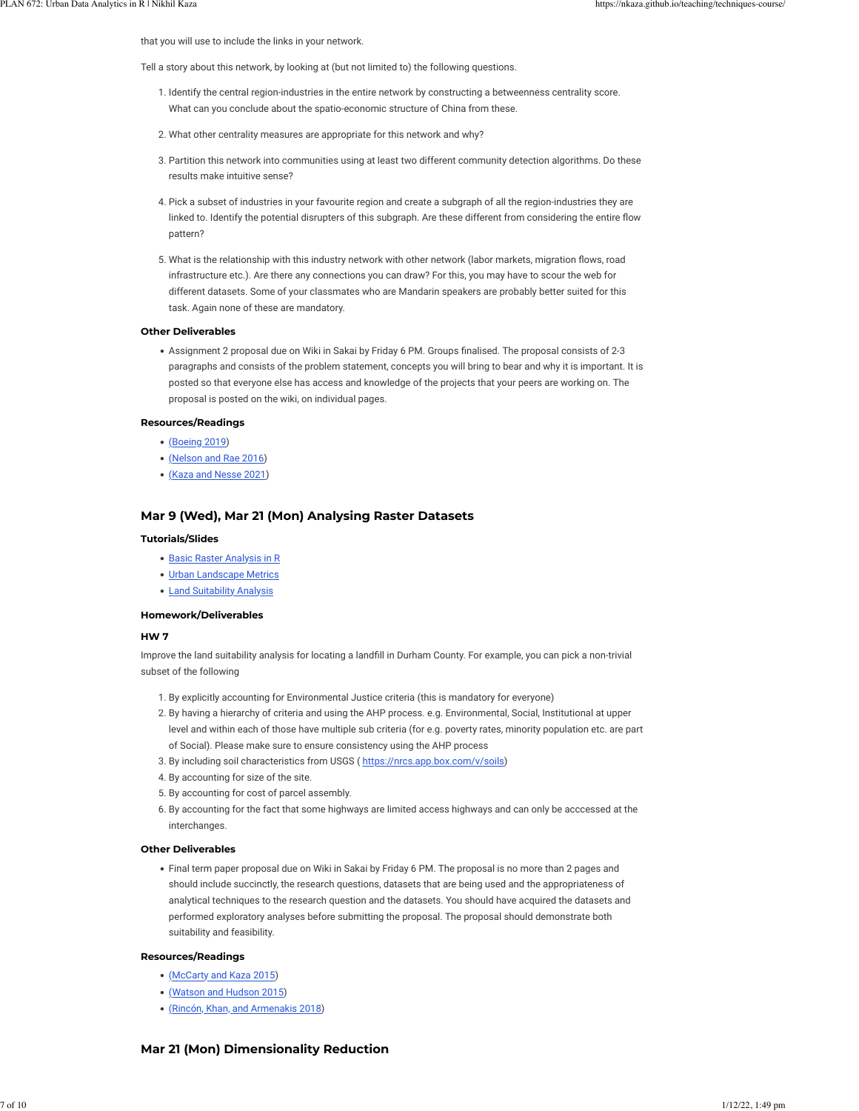that you will use to include the links in your network.

Tell a story about this network, by looking at (but not limited to) the following questions.

- 1. Identify the central region-industries in the entire network by constructing a betweenness centrality score. What can you conclude about the spatio-economic structure of China from these.
- 2. What other centrality measures are appropriate for this network and why?
- 3. Partition this network into communities using at least two different community detection algorithms. Do these results make intuitive sense?
- 4. Pick a subset of industries in your favourite region and create a subgraph of all the region-industries they are linked to. Identify the potential disrupters of this subgraph. Are these different from considering the entire flow pattern?
- 5. What is the relationship with this industry network with other network (labor markets, migration flows, road infrastructure etc.). Are there any connections you can draw? For this, you may have to scour the web for different datasets. Some of your classmates who are Mandarin speakers are probably better suited for this task. Again none of these are mandatory.

#### **Other Deliverables**

• Assignment 2 proposal due on Wiki in Sakai by Friday 6 PM. Groups finalised. The proposal consists of 2-3 paragraphs and consists of the problem statement, concepts you will bring to bear and why it is important. It is posted so that everyone else has access and knowledge of the projects that your peers are working on. The proposal is posted on the wiki, on individual pages.

#### **Resources/Readings**

- [\(](https://doi.org/10.1007/s41109-019-0189-1)[Boeing 2019](https://nkaza.github.io/teaching/techniques-course/#ref-boeingUrbanSpatialOrder2019))
- [\(](https://doi.org/10.1371/journal.pone.0166083)[Nelson and Rae 2016](https://nkaza.github.io/teaching/techniques-course/#ref-nelsonEconomicGeographyUnited2016))
- [\(](https://doi.org/10.1177/0160017620946082)[Kaza and Nesse 2021\)](https://nkaza.github.io/teaching/techniques-course/#ref-kazaCharacterizingRegionalStructure2021)

#### **Mar 9 (Wed), Mar 21 (Mon) Analysing Raster Datasets**

#### **Tutorials/Slides**

- **.** [Basic Raster Analysis in R](https://nkaza.github.io/post/2020-02-27-basic-raster-operations-in-r/)
- [Urban Landscape Metrics](https://nkaza.github.io/post/urban-morphology-landscape-metrics/)
- . [Land Suitability Analysis](https://nkaza.github.io/post/land-suitabilty-with-ahp-wlc/)

#### **Homework/Deliverables**

#### **HW 7**

Improve the land suitability analysis for locating a landfill in Durham County. For example, you can pick a non-trivial subset of the following

- 1. By explicitly accounting for Environmental Justice criteria (this is mandatory for everyone)
- 2. By having a hierarchy of criteria and using the AHP process. e.g. Environmental, Social, Institutional at upper level and within each of those have multiple sub criteria (for e.g. poverty rates, minority population etc. are part of Social). Please make sure to ensure consistency using the AHP process
- 3. By including soil characteristics from USGS ([https://nrcs.app.box.com/v/soils\)](https://nrcs.app.box.com/v/soils)
- 4. By accounting for size of the site.
- 5. By accounting for cost of parcel assembly.
- 6. By accounting for the fact that some highways are limited access highways and can only be acccessed at the interchanges.

#### **Other Deliverables**

!"Final term paper proposal due on Wiki in Sakai by Friday 6 PM. The proposal is no more than 2 pages and should include succinctly, the research questions, datasets that are being used and the appropriateness of analytical techniques to the research question and the datasets. You should have acquired the datasets and performed exploratory analyses before submitting the proposal. The proposal should demonstrate both suitability and feasibility.

#### **Resources/Readings**

- . [\(](https://doi.org/10.1016/j.landurbplan.2015.03.008)[McCarty and Kaza 2015](https://nkaza.github.io/teaching/techniques-course/#ref-mccartyUrbanFormAir2015))
- . [\(](https://doi.org/10.1016/j.landurbplan.2015.02.001)[Watson and Hudson 2015](https://nkaza.github.io/teaching/techniques-course/#ref-watsonRegionalScaleWind2015))
- . [\(](https://doi.org/10.3390/geosciences8080275)[Rincón, Khan, and Armenakis 2018](https://nkaza.github.io/teaching/techniques-course/#ref-rinconFloodRiskMapping2018))

#### **Mar 21 (Mon) Dimensionality Reduction**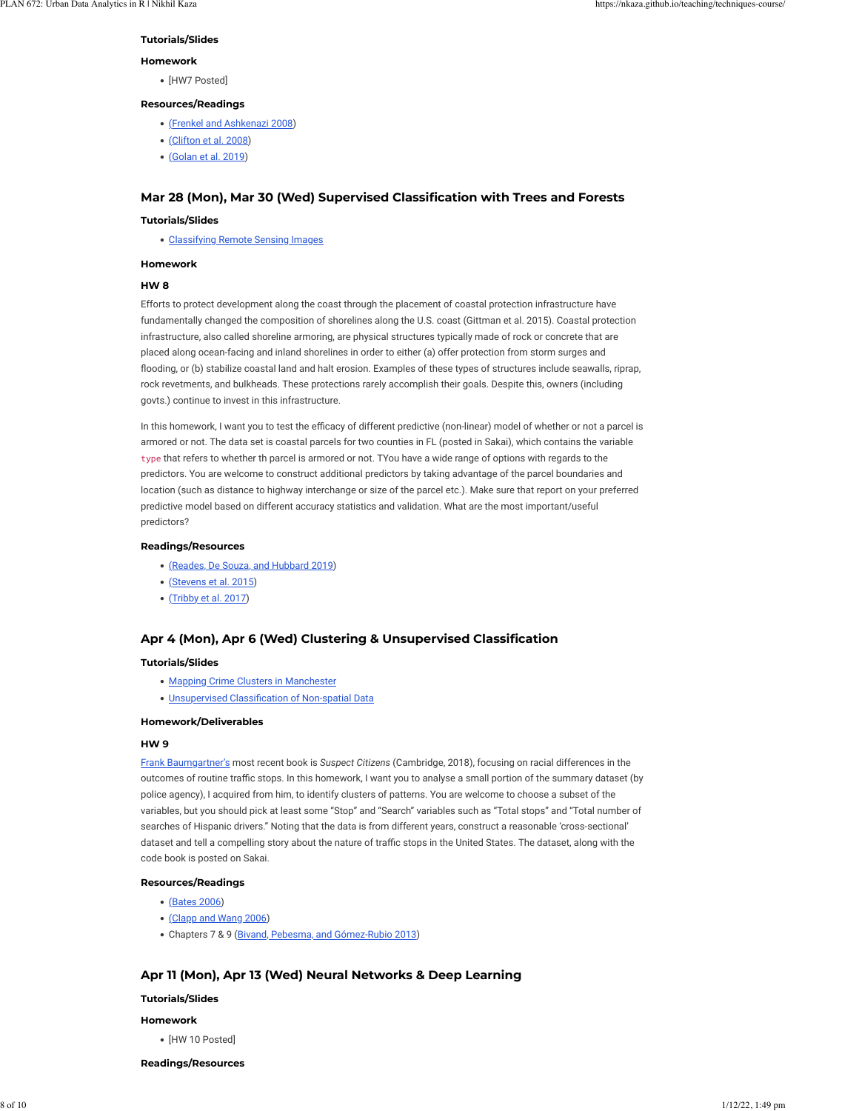#### **Tutorials/Slides**

#### **Homework**

• [HW7 Posted]

#### **Resources/Readings**

- . [\(](https://doi.org/10.1068/b32155)[Frenkel and Ashkenazi 2008\)](https://nkaza.github.io/teaching/techniques-course/#ref-frenkelMeasuringUrbanSprawl2008)
- [\(](https://www.tandfonline.com/doi/full/10.1080/17549170801903496)[Clifton et al. 2008\)](https://nkaza.github.io/teaching/techniques-course/#ref-cliftonQuantitativeAnalysisUrban2008)
- !"[\(](https://doi.org/10.5198/jtlu.2019.1472)[Golan et al. 2019\)](https://nkaza.github.io/teaching/techniques-course/#ref-golanGenderedWalkabilityBuilding2019)

#### **Mar 28 (Mon), Mar 30 (Wed) Supervised Classification with Trees and Forests**

#### **Tutorials/Slides**

. [Classifying Remote Sensing Images](https://nkaza.github.io/post/machine-learning-for-remote-sensing/)

#### **Homework**

#### **HW 8**

Efforts to protect development along the coast through the placement of coastal protection infrastructure have fundamentally changed the composition of shorelines along the U.S. coast (Gittman et al. 2015). Coastal protection infrastructure, also called shoreline armoring, are physical structures typically made of rock or concrete that are placed along ocean-facing and inland shorelines in order to either (a) offer protection from storm surges and flooding, or (b) stabilize coastal land and halt erosion. Examples of these types of structures include seawalls, riprap, rock revetments, and bulkheads. These protections rarely accomplish their goals. Despite this, owners (including govts.) continue to invest in this infrastructure.

In this homework, I want you to test the efficacy of different predictive (non-linear) model of whether or not a parcel is armored or not. The data set is coastal parcels for two counties in FL (posted in Sakai), which contains the variable type that refers to whether th parcel is armored or not. TYou have a wide range of options with regards to the predictors. You are welcome to construct additional predictors by taking advantage of the parcel boundaries and location (such as distance to highway interchange or size of the parcel etc.). Make sure that report on your preferred predictive model based on different accuracy statistics and validation. What are the most important/useful predictors?

#### **Readings/Resources**

- . [\(](https://doi-org/10.1177/0042098018789054)[Reades, De Souza, and Hubbard 2019\)](https://nkaza.github.io/teaching/techniques-course/#ref-readesUnderstandingUrbanGentrification2019)
- [\(](https://doi-org/10.1371/journal.pone.0107042)[Stevens et al. 2015\)](https://nkaza.github.io/teaching/techniques-course/#ref-stevensDisaggregatingCensusData2015)
- [\(](https://doi-org/10.1177/0265813516659286)[Tribby et al. 2017](https://nkaza.github.io/teaching/techniques-course/#ref-tribbyAnalyzingWalkingRoute2017))

#### **Apr 4 (Mon), Apr 6 (Wed) Clustering & Unsupervised Classification**

#### **Tutorials/Slides**

- . [Mapping Crime Clusters in Manchester](https://nkaza.github.io/post/cluster-detection-in-point-data/)
- . Unsupervised Classification of Non-spatial Data

#### **Homework/Deliverables**

#### **HW 9**

[Frank Baumgartner's](https://fbaum.unc.edu/) most recent book is *Suspect Citizens* (Cambridge, 2018), focusing on racial differences in the outcomes of routine traffic stops. In this homework, I want you to analyse a small portion of the summary dataset (by police agency), I acquired from him, to identify clusters of patterns. You are welcome to choose a subset of the variables, but you should pick at least some "Stop" and "Search" variables such as "Total stops" and "Total number of searches of Hispanic drivers." Noting that the data is from different years, construct a reasonable 'cross-sectional' dataset and tell a compelling story about the nature of traffic stops in the United States. The dataset, along with the code book is posted on Sakai.

#### **Resources/Readings**

- [\(](https://doi.org/10.1177/0739456X05283254)[Bates 2006\)](https://nkaza.github.io/teaching/techniques-course/#ref-batesDoesNeighborhoodReally2006)
- . [\(](https://doi.org/10.1016/j.jue.2005.10.003)[Clapp and Wang 2006](https://nkaza.github.io/teaching/techniques-course/#ref-clappDefiningNeighborhoodBoundaries2006))
- . Chapters 7 & 9 [\(Bivand, Pebesma, and Gómez-Rubio 2013](https://nkaza.github.io/teaching/techniques-course/#ref-bivandAppliedSpatialData2013))

## **Apr 11 (Mon), Apr 13 (Wed) Neural Networks & Deep Learning**

#### **Tutorials/Slides**

#### **Homework**

• [HW 10 Posted]

### **Readings/Resources**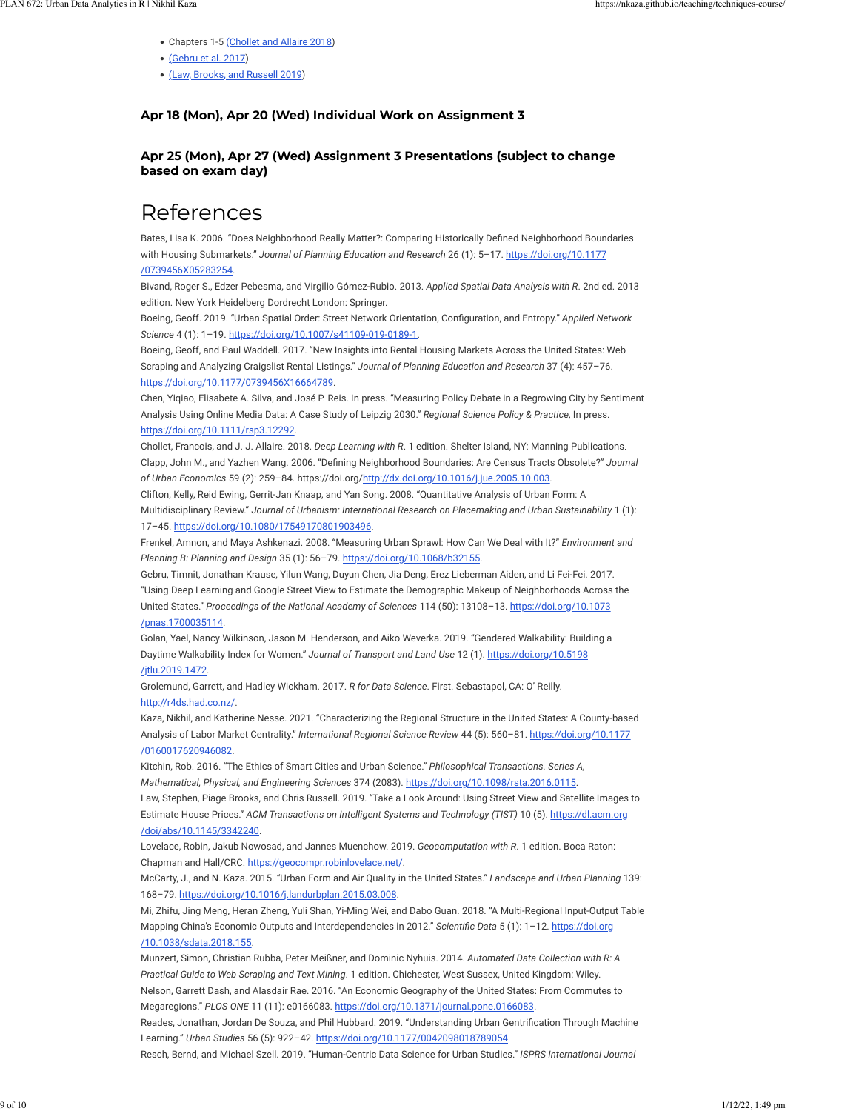- Chapters 1-5 [\(](https://www.manning.com/books/deep-learning-with-r)[Chollet and Allaire 2018\)](https://nkaza.github.io/teaching/techniques-course/#ref-cholletDeepLearning2018)
- [\(](https://doi.org/10.1073/pnas.1700035114)[Gebru et al. 2017](https://nkaza.github.io/teaching/techniques-course/#ref-gebruUsingDeepLearning2017))
- [\(](https://arxiv.org/abs/1807.07155)[Law, Brooks, and Russell 2019](https://nkaza.github.io/teaching/techniques-course/#ref-lawTakeLookUsing2019a))

## **Apr 18 (Mon), Apr 20 (Wed) Individual Work on Assignment 3**

## **Apr 25 (Mon), Apr 27 (Wed) Assignment 3 Presentations (subject to change based on exam day)**

## References

Bates, Lisa K. 2006. "Does Neighborhood Really Matter?: Comparing Historically Defined Neighborhood Boundaries with Housing Submarkets." *Journal of Planning Education and Research* 26 (1): 5–17. [https://doi.org/10.1177](https://doi.org/10.1177/0739456X05283254) [/0739456X05283254.](https://doi.org/10.1177/0739456X05283254)

Bivand, Roger S., Edzer Pebesma, and Virgilio Gómez-Rubio. 2013. *Applied Spatial Data Analysis with R*. 2nd ed. 2013 edition. New York Heidelberg Dordrecht London: Springer.

Boeing, Geoff. 2019. "Urban Spatial Order: Street Network Orientation, Con\_guration, and Entropy." *Applied Network Science* 4 (1): 1–19. [https://doi.org/10.1007/s41109-019-0189-1.](https://doi.org/10.1007/s41109-019-0189-1)

Boeing, Geoff, and Paul Waddell. 2017. "New Insights into Rental Housing Markets Across the United States: Web Scraping and Analyzing Craigslist Rental Listings." *Journal of Planning Education and Research* 37 (4): 457–76. [https://doi.org/10.1177/0739456X16664789.](https://doi.org/10.1177/0739456X16664789)

Chen, Yiqiao, Elisabete A. Silva, and José P. Reis. In press. "Measuring Policy Debate in a Regrowing City by Sentiment Analysis Using Online Media Data: A Case Study of Leipzig 2030." *Regional Science Policy & Practice*, In press. <https://doi.org/10.1111/rsp3.12292>.

Chollet, Francois, and J. J. Allaire. 2018. *Deep Learning with R*. 1 edition. Shelter Island, NY: Manning Publications. Clapp, John M., and Yazhen Wang. 2006. "Defining Neighborhood Boundaries: Are Census Tracts Obsolete?" *Journal of Urban Economics* 59 (2): 259–84. https://doi.org/<http://dx.doi.org/10.1016/j.jue.2005.10.003>.

Clifton, Kelly, Reid Ewing, Gerrit-Jan Knaap, and Yan Song. 2008. "Quantitative Analysis of Urban Form: A Multidisciplinary Review." *Journal of Urbanism: International Research on Placemaking and Urban Sustainability* 1 (1): 17–45. [https://doi.org/10.1080/17549170801903496.](https://doi.org/10.1080/17549170801903496)

Frenkel, Amnon, and Maya Ashkenazi. 2008. "Measuring Urban Sprawl: How Can We Deal with It?" *Environment and Planning B: Planning and Design* 35 (1): 56–79.<https://doi.org/10.1068/b32155>.

Gebru, Timnit, Jonathan Krause, Yilun Wang, Duyun Chen, Jia Deng, Erez Lieberman Aiden, and Li Fei-Fei. 2017. "Using Deep Learning and Google Street View to Estimate the Demographic Makeup of Neighborhoods Across the United States." *Proceedings of the National Academy of Sciences* 114 (50): 13108–13. [https://doi.org/10.1073](https://doi.org/10.1073/pnas.1700035114) [/pnas.1700035114.](https://doi.org/10.1073/pnas.1700035114)

Golan, Yael, Nancy Wilkinson, Jason M. Henderson, and Aiko Weverka. 2019. "Gendered Walkability: Building a Daytime Walkability Index for Women." *Journal of Transport and Land Use* 12 (1). [https://doi.org/10.5198](https://doi.org/10.5198/jtlu.2019.1472) [/jtlu.2019.1472](https://doi.org/10.5198/jtlu.2019.1472).

Grolemund, Garrett, and Hadley Wickham. 2017. *R for Data Science*. First. Sebastapol, CA: O' Reilly. [http://r4ds.had.co.nz/.](http://r4ds.had.co.nz/)

Kaza, Nikhil, and Katherine Nesse. 2021. "Characterizing the Regional Structure in the United States: A County-based Analysis of Labor Market Centrality." *International Regional Science Review* 44 (5): 560–81. [https://doi.org/10.1177](https://doi.org/10.1177/0160017620946082) [/0160017620946082](https://doi.org/10.1177/0160017620946082).

Kitchin, Rob. 2016. "The Ethics of Smart Cities and Urban Science." *Philosophical Transactions. Series A, Mathematical, Physical, and Engineering Sciences* 374 (2083). [https://doi.org/10.1098/rsta.2016.0115.](https://doi.org/10.1098/rsta.2016.0115) Law, Stephen, Piage Brooks, and Chris Russell. 2019. "Take a Look Around: Using Street View and Satellite Images to Estimate House Prices." *ACM Transactions on Intelligent Systems and Technology (TIST)* 10 (5). [https://dl.acm.org](https://dl.acm.org/doi/abs/10.1145/3342240) [/doi/abs/10.1145/3342240.](https://dl.acm.org/doi/abs/10.1145/3342240)

Lovelace, Robin, Jakub Nowosad, and Jannes Muenchow. 2019. *Geocomputation with R*. 1 edition. Boca Raton: Chapman and Hall/CRC. <https://geocompr.robinlovelace.net/>.

McCarty, J., and N. Kaza. 2015. "Urban Form and Air Quality in the United States." *Landscape and Urban Planning* 139: 168–79. [https://doi.org/10.1016/j.landurbplan.2015.03.008.](https://doi.org/10.1016/j.landurbplan.2015.03.008)

Mi, Zhifu, Jing Meng, Heran Zheng, Yuli Shan, Yi-Ming Wei, and Dabo Guan. 2018. "A Multi-Regional Input-Output Table Mapping China's Economic Outputs and Interdependencies in 2012." *Scientific Data* 5 (1): 1-12. [https://doi.org](https://doi.org/10.1038/sdata.2018.155) [/10.1038/sdata.2018.155](https://doi.org/10.1038/sdata.2018.155).

Munzert, Simon, Christian Rubba, Peter Meißner, and Dominic Nyhuis. 2014. *Automated Data Collection with R: A Practical Guide to Web Scraping and Text Mining*. 1 edition. Chichester, West Sussex, United Kingdom: Wiley. Nelson, Garrett Dash, and Alasdair Rae. 2016. "An Economic Geography of the United States: From Commutes to Megaregions." *PLOS ONE* 11 (11): e0166083. [https://doi.org/10.1371/journal.pone.0166083.](https://doi.org/10.1371/journal.pone.0166083) Reades, Jonathan, Jordan De Souza, and Phil Hubbard. 2019. "Understanding Urban Gentrification Through Machine Learning." *Urban Studies* 56 (5): 922–42.<https://doi.org/10.1177/0042098018789054>. Resch, Bernd, and Michael Szell. 2019. "Human-Centric Data Science for Urban Studies." *ISPRS International Journal*